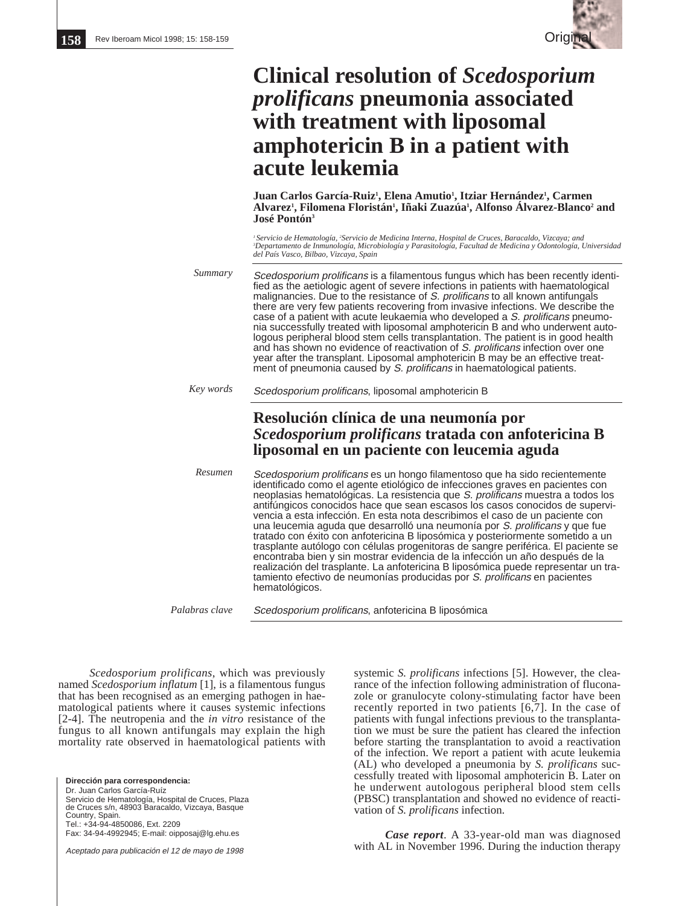

## **Clinical resolution of** *Scedosporium prolificans* **pneumonia associated with treatment with liposomal amphotericin B in a patient with acute leukemia**

**Juan Carlos García-Ruiz1 , Elena Amutio1 , Itziar Hernández1 , Carmen** Alvarez<sup>ı</sup>, Filomena Floristán<sup>ı</sup>, Iñaki Zuazúa<sup>ı</sup>, Alfonso Álvarez-Blanco<sup>2</sup> and **José Pontón3**

*1 Servicio de Hematología, 2 Servicio de Medicina Interna, Hospital de Cruces, Baracaldo, Vizcaya; and 3 Departamento de Inmunología, Microbiología y Parasitología, Facultad de Medicina y Odontología, Universidad del País Vasco, Bilbao, Vizcaya, Spain*

Scedosporium prolificans is a filamentous fungus which has been recently identified as the aetiologic agent of severe infections in patients with haematological malignancies. Due to the resistance of S. prolificans to all known antifungals there are very few patients recovering from invasive infections. We describe the case of a patient with acute leukaemia who developed a S. prolificans pneumonia successfully treated with liposomal amphotericin B and who underwent autologous peripheral blood stem cells transplantation. The patient is in good health and has shown no evidence of reactivation of S. prolificans infection over one year after the transplant. Liposomal amphotericin B may be an effective treatment of pneumonia caused by S. prolificans in haematological patients. *Summary*

Scedosporium prolificans, liposomal amphotericin B *Key words*

## **Resolución clínica de una neumonía por** *Scedosporium prolificans* **tratada con anfotericina B liposomal en un paciente con leucemia aguda**

Scedosporium prolificans es un hongo filamentoso que ha sido recientemente identificado como el agente etiológico de infecciones graves en pacientes con neoplasias hematológicas. La resistencia que S. prolificans muestra a todos los antifúngicos conocidos hace que sean escasos los casos conocidos de supervivencia a esta infección. En esta nota describimos el caso de un paciente con una leucemia aguda que desarrolló una neumonía por S. prolificans y que fue tratado con éxito con anfotericina B liposómica y posteriormente sometido a un trasplante autólogo con células progenitoras de sangre periférica. El paciente se encontraba bien y sin mostrar evidencia de la infección un año después de la realización del trasplante. La anfotericina B liposómica puede representar un tratamiento efectivo de neumonías producidas por S. prolificans en pacientes hematológicos. *Resumen*

Scedosporium prolificans, anfotericina B liposómica *Palabras clave*

*Scedosporium prolificans*, which was previously named *Scedosporium inflatum* [1], is a filamentous fungus that has been recognised as an emerging pathogen in haematological patients where it causes systemic infections [2-4]. The neutropenia and the *in vitro* resistance of the fungus to all known antifungals may explain the high mortality rate observed in haematological patients with

**Dirección para correspondencia:** Dr. Juan Carlos García-Ruíz Servicio de Hematología, Hospital de Cruces, Plaza de Cruces s/n, 48903 Baracaldo, Vizcaya, Basque Country, Spain. Tel.: +34-94-4850086, Ext. 2209 Fax: 34-94-4992945; E-mail: oipposaj@lg.ehu.es

Aceptado para publicación el 12 de mayo de 1998

systemic *S. prolificans* infections [5]. However, the clearance of the infection following administration of fluconazole or granulocyte colony-stimulating factor have been recently reported in two patients [6,7]. In the case of patients with fungal infections previous to the transplantation we must be sure the patient has cleared the infection before starting the transplantation to avoid a reactivation of the infection. We report a patient with acute leukemia (AL) who developed a pneumonia by *S. prolificans* successfully treated with liposomal amphotericin B. Later on he underwent autologous peripheral blood stem cells (PBSC) transplantation and showed no evidence of reactivation of *S. prolificans* infection.

*Case report*. A 33-year-old man was diagnosed with AL in November 1996. During the induction therapy